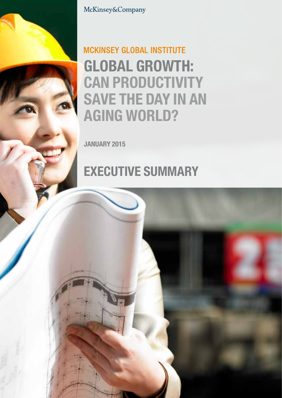

McKinsey&Company

## **MCKINSEY GLOBAL INSTITUTE** Global growth: **CAN PRODUCTIVITY** SAVE THE DAY IN AN **AGING WORLD?**

January 2015

# **EXECUTIVE SUMMARY**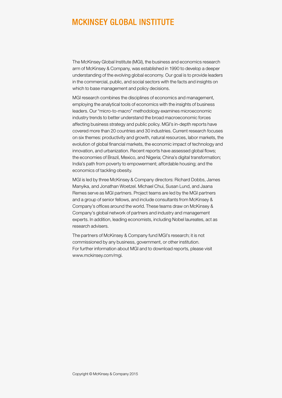### **MCKINSEY GLOBAL INSTITUTE**

The McKinsey Global Institute (MGI), the business and economics research arm of McKinsey & Company, was established in 1990 to develop a deeper understanding of the evolving global economy. Our goal is to provide leaders in the commercial, public, and social sectors with the facts and insights on which to base management and policy decisions.

MGI research combines the disciplines of economics and management, employing the analytical tools of economics with the insights of business leaders. Our "micro-to-macro" methodology examines microeconomic industry trends to better understand the broad macroeconomic forces affecting business strategy and public policy. MGI's in-depth reports have covered more than 20 countries and 30 industries. Current research focuses on six themes: productivity and growth, natural resources, labor markets, the evolution of global financial markets, the economic impact of technology and innovation, and urbanization. Recent reports have assessed global flows; the economies of Brazil, Mexico, and Nigeria; China's digital transformation; India's path from poverty to empowerment; affordable housing; and the economics of tackling obesity.

MGI is led by three McKinsey & Company directors: Richard Dobbs, James Manyika, and Jonathan Woetzel. Michael Chui, Susan Lund, and Jaana Remes serve as MGI partners. Project teams are led by the MGI partners and a group of senior fellows, and include consultants from McKinsey & Company's offices around the world. These teams draw on McKinsey & Company's global network of partners and industry and management experts. In addition, leading economists, including Nobel laureates, act as research advisers.

The partners of McKinsey & Company fund MGI's research; it is not commissioned by any business, government, or other institution. For further information about MGI and to download reports, please visit [www.mckinsey.com/mgi.](www.mckinsey.com/mgi)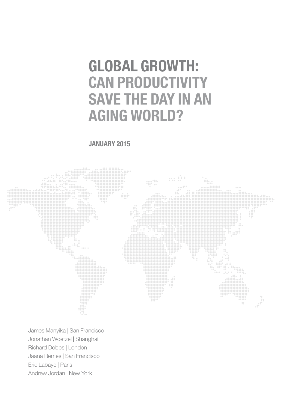# Global growth: **CAN PRODUCTIVITY** SAVE THE DAY IN AN **AGING WORLD?**

### January 2015



James Manyika | San Francisco Jonathan Woetzel | Shanghai Richard Dobbs | London Jaana Remes | San Francisco Eric Labaye | Paris Andrew Jordan | New York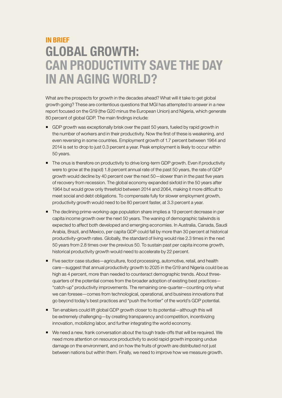## **IN RRIFF** Global growth: Can productivity save the day in an aging world?

What are the prospects for growth in the decades ahead? What will it take to get global growth going? These are contentious questions that MGI has attempted to answer in a new report focused on the G19 (the G20 minus the European Union) and Nigeria, which generate 80 percent of global GDP. The main findings include:

- **GDP** growth was exceptionally brisk over the past 50 years, fueled by rapid growth in the number of workers and in their productivity. Now the first of these is weakening, and even reversing in some countries. Employment growth of 1.7 percent between 1964 and 2014 is set to drop to just 0.3 percent a year. Peak employment is likely to occur within 50 years.
- The onus is therefore on productivity to drive long-term GDP growth. Even if productivity were to grow at the (rapid) 1.8 percent annual rate of the past 50 years, the rate of GDP growth would decline by 40 percent over the next 50—slower than in the past five years of recovery from recession. The global economy expanded sixfold in the 50 years after 1964 but would grow only threefold between 2014 and 2064, making it more difficult to meet social and debt obligations. To compensate fully for slower employment growth, productivity growth would need to be 80 percent faster, at 3.3 percent a year.
- The declining prime-working-age population share implies a 19 percent decrease in per capita income growth over the next 50 years. The waning of demographic tailwinds is expected to affect both developed and emerging economies. In Australia, Canada, Saudi Arabia, Brazil, and Mexico, per capita GDP could fall by more than 30 percent at historical productivity-growth rates. Globally, the standard of living would rise 2.3 times in the next 50 years from 2.8 times over the previous 50. To sustain past per capita income growth, historical productivity growth would need to accelerate by 22 percent.
- Five sector case studies—agriculture, food processing, automotive, retail, and health care—suggest that annual productivity growth to 2025 in the G19 and Nigeria could be as high as 4 percent, more than needed to counteract demographic trends. About threequarters of the potential comes from the broader adoption of existing best practices— "catch-up" productivity improvements. The remaining one-quarter—counting only what we can foresee—comes from technological, operational, and business innovations that go beyond today's best practices and "push the frontier" of the world's GDP potential.
- Ten enablers could lift global GDP growth closer to its potential—although this will be extremely challenging—by creating transparency and competition, incentivizing innovation, mobilizing labor, and further integrating the world economy.
- We need a new, frank conversation about the tough trade-offs that will be required. We need more attention on resource productivity to avoid rapid growth imposing undue damage on the environment, and on how the fruits of growth are distributed not just between nations but within them. Finally, we need to improve how we measure growth.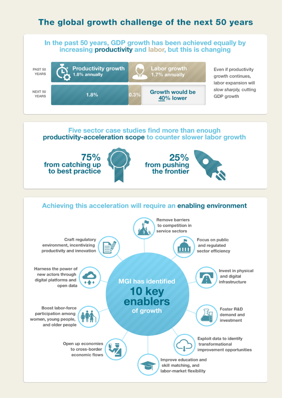### The global growth challenge of the next 50 years

#### In the past 50 years, GDP growth has been achieved equally by increasing productivity and labor, but this is changing



Even if productivity growth continues. labor expansion will slow sharply, cutting GDP growth

## Five sector case studies find more than enough productivity-acceleration scope to counter slower labor growth



#### Achieving this acceleration will require an enabling environment Remove barriers to competition in service sectors Craft regulatory Focus on public environment, incentivizing and regulated ш productivity and innovation sector efficiency Harness the power of Invest in physical new actors through and digital digital platforms and **MGI has identified** infrastructure open data **10 kev** enablers Boost labor-force Foster R&D of growth participation among demand and women, young people, investment and older people Exploit data to identify Open up economies transformational to cross-border improvement opportunities economic flows Improve education and skill matching, and labor-market flexibility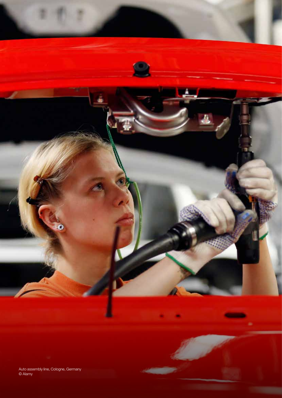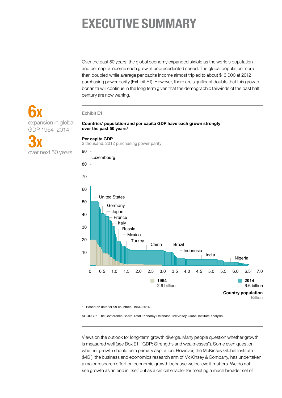## Executive summary

Over the past 50 years, the global economy expanded sixfold as the world's population and per capita income each grew at unprecedented speed. The global population more than doubled while average per capita income almost tripled to about \$13,000 at 2012 purchasing power parity (Exhibit E1). However, there are significant doubts that this growth bonanza will continue in the long term given that the demographic tailwinds of the past half century are now waning.

#### **Exhibit E1**

**6x** expansion in global GDP 1964–2014

3x over next 50 years

#### **Countries' population and per capita GDP have each grown strongly over the past 50 years**<sup>1</sup>

#### **Per capita GDP**

\$ thousand, 2012 purchasing power parity



1 Based on data for 99 countries, 1964–2014.

SOURCE: The Conference Board Total Economy Database; McKinsey Global Institute analysis

Views on the outlook for long-term growth diverge. Many people question whether growth is measured well (see Box E1, "GDP: Strengths and weaknesses"). Some even question whether growth should be a primary aspiration. However, the McKinsey Global Institute (MGI), the business and economics research arm of McKinsey & Company, has undertaken a major research effort on economic growth because we believe it matters. We do not see growth as an end in itself but as a critical enabler for meeting a much broader set of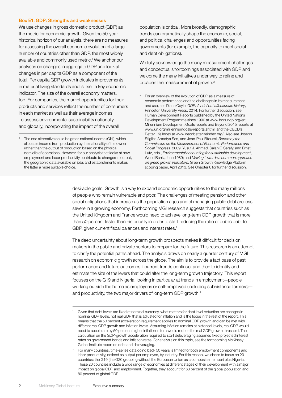#### Box E1. GDP: Strengths and weaknesses

We use changes in gross domestic product (GDP) as the metric for economic growth. Given the 50-year historical horizon of our analysis, there are no measures for assessing the overall economic evolution of a large number of countries other than GDP, the most widely available and commonly used metric.<sup>1</sup> We anchor our analyses on changes in aggregate GDP and look at changes in per capita GDP as a component of the total. Per capita GDP growth indicates improvements in material living standards and is itself a key economic indicator. The size of the overall economy matters, too. For companies, the market opportunities for their products and services reflect the number of consumers in each market as well as their average incomes. To assess environmental sustainability nationally and globally, incorporating the impact of the overall

population is critical. More broadly, demographic trends can dramatically shape the economic, social, and political challenges and opportunities facing governments (for example, the capacity to meet social and debt obligations).

We fully acknowledge the many measurement challenges and conceptual shortcomings associated with GDP and welcome the many initiatives under way to refine and broaden the measurement of growth.2

<sup>2</sup> For an overview of the evolution of GDP as a measure of economic performance and the challenges in its measurement and use, see Diane Coyle, *GDP: A brief but affectionate history*, Princeton University Press, 2014. For further discussion, see Human Development Reports published by the United Nations Development Programme since 1990 at www.hdr.undp.org/en; Millennium Development Goals reports and Beyond 2015 reports at www.un.org/millenniumgoals/reports.shtml; and the OECD's Better Life Index at www.oecdbetterlifeindex.org/. Also see Joseph Stiglitz, Amartya Sen, and Jean-Paul Fitoussi, *Report by the Commission on the Measurement of Economic Performance and Social Progress*, 2009; Yusuf J. Ahmad, Salah El Serafy, and Ernst Lutz, eds., *Environmental accounting for sustainable development*, World Bank, June 1989; and *Moving towards a common approach on green growth indicators*, Green Growth Knowledge Platform scoping paper, April 2013. See Chapter 6 for further discussion.

desirable goals. Growth is a way to expand economic opportunities to the many millions of people who remain vulnerable and poor. The challenges of meeting pension and other social obligations that increase as the population ages and of managing public debt are less severe in a growing economy. Forthcoming MGI research suggests that countries such as the United Kingdom and France would need to achieve long-term GDP growth that is more than 50 percent faster than historically in order to start reducing the ratio of public debt to GDP, given current fiscal balances and interest rates.<sup>1</sup>

The deep uncertainty about long-term growth prospects makes it difficult for decision makers in the public and private sectors to prepare for the future. This research is an attempt to clarify the potential paths ahead. The analysis draws on nearly a quarter century of MGI research on economic growth across the globe. The aim is to provide a fact base of past performance and future outcomes if current trends continue, and then to identify and estimate the size of the levers that could alter the long-term growth trajectory. This report focuses on the G19 and Nigeria, looking in particular at trends in employment—people working outside the home as employees or self-employed (including subsistence farmers) and productivity, the two major drivers of long-term GDP growth.<sup>2</sup>

The one alternative could be gross national income (GNI), which allocates income from production by the nationality of the owner rather than the output of production based on the physical domicile of operations. However, for our analysis that looks at how employment and labor productivity contribute to changes in output, the geographic data available on jobs and establishments makes the latter a more suitable choice.

Given that debt levels are fixed at nominal currency, what matters for debt level reduction are changes in nominal GDP levels, not real GDP that is adjusted for inflation and is the focus in the rest of the report. This means that the 50 percent acceleration requirement applies to nominal GDP growth and can be met with different real GDP growth and inflation levels. Assuming inflation remains at historical levels, real GDP would need to accelerate by 50 percent; higher inflation in turn would reduce the real GDP growth threshold. The calculation on the GDP-growth acceleration required to start deleveraging assumes fixed projected interest rates on government bonds and inflation rates. For analysis on this topic, see the forthcoming McKinsey Global Institute report on debt and deleveraging.

<sup>2</sup> For many countries, time-series data going back 50 years is limited for both employment components and labor productivity, defined as output per employee, by industry. For this reason, we chose to focus on 20 countries: the G19 (the G20 grouping without the European Union as a composite member) plus Nigeria. These 20 countries include a wide range of economies at different stages of their development with a major impact on global GDP and employment. Together, they account for 63 percent of the global population and 80 percent of global GDP.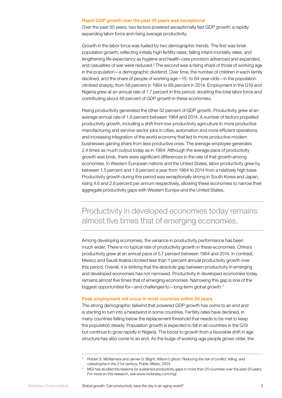#### Rapid GDP growth over the past 50 years was exceptional

Over the past 50 years, two factors powered exceptionally fast GDP growth: a rapidly expanding labor force and rising average productivity.

Growth in the labor force was fueled by two demographic trends. The first was brisk population growth, reflecting initially high fertility rates, falling infant-mortality rates, and lengthening life expectancy as hygiene and health-care provision advanced and expanded, and casualties of war were reduced. $3$  The second was a rising share of those of working age in the population—a demographic dividend. Over time, the number of children in each family declined, and the share of people of working age—15- to 64-year-olds—in the population climbed sharply, from 58 percent in 1964 to 68 percent in 2014. Employment in the G19 and Nigeria grew at an annual rate of 1.7 percent in this period, doubling the total labor force and contributing about 48 percent of GDP growth in these economies.

Rising productivity generated the other 52 percent of GDP growth. Productivity grew at an average annual rate of 1.8 percent between 1964 and 2014. A number of factors propelled productivity growth, including a shift from low-productivity agriculture to more productive manufacturing and service-sector jobs in cities, automation and more efficient operations, and increasing integration of the world economy that led to more productive modern businesses gaining share from less productive ones. The average employee generates 2.4 times as much output today as in 1964. Although the average pace of productivity growth was brisk, there were significant differences in the rate of that growth among economies. In Western European nations and the United States, labor productivity grew by between 1.5 percent and 1.9 percent a year from 1964 to 2014 from a relatively high base. Productivity growth during this period was exceptionally strong in South Korea and Japan, rising 4.6 and 2.8 percent per annum respectively, allowing these economies to narrow their aggregate productivity gaps with Western Europe and the United States.

### Productivity in developed economies today remains almost five times that of emerging economies.

Among developing economies, the variance in productivity performance has been much wider. There is no typical rate of productivity growth in these economies. China's productivity grew at an annual pace of 5.7 percent between 1964 and 2014. In contrast, Mexico and Saudi Arabia clocked less than 1 percent annual productivity growth over this period. Overall, it is striking that the absolute gap between productivity in emerging and developed economies has not narrowed. Productivity in developed economies today remains almost five times that of emerging economies. Narrowing this gap is one of the biggest opportunities for—and challenges to—long-term global growth.<sup>4</sup>

#### Peak employment will occur in most countries within 50 years

The strong demographic tailwind that powered GDP growth has come to an end and is starting to turn into a headwind in some countries. Fertility rates have declined, in many countries falling below the replacement threshold that needs to be met to keep the population steady. Population growth is expected to fall in all countries in the G19 but continue to grow rapidly in Nigeria. The boost to growth from a favorable shift in age structure has also come to an end. As the bulge of working-age people grows older, the

<sup>3</sup> Robert S. McNamara and James G. Blight, *Wilson's ghost: Reducing the risk of conflict, killing, and catastrophe in the 21st century*, Public Affairs, 2003.

MGI has studied the reasons for sustained productivity gaps in more than 20 countries over the past 20 years. For more on this research, see<www.mckinsey.com/mgi>.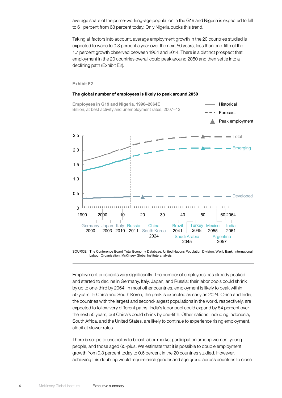average share of the prime-working-age population in the G19 and Nigeria is expected to fall to 61 percent from 68 percent today. Only Nigeria bucks this trend.

Taking all factors into account, average employment growth in the 20 countries studied is expected to wane to 0.3 percent a year over the next 50 years, less than one-fifth of the 1.7 percent growth observed between 1964 and 2014. There is a distinct prospect that employment in the 20 countries overall could peak around 2050 and then settle into a declining path (Exhibit E2).

#### **Exhibit E2**

#### **The global number of employees is likely to peak around 2050 Employees in G19 and Nigeria, 1990–2064E Historical** Billion, at best activity and unemployment rates, 2007–12 Forecast Peak employment 2.5 Total - Emerging 2.0 1.5 1.0 0.5  $\longrightarrow$  Developed  $\Omega$ 1990 2000 10 20 30 40 50 60 2064F. China Brazil Turkey Mexico India Germany Japan Italy Russia 2048 2061 2000 South Korea 2041 2055 2003 2010 2011 2024 Saudi Arabia Argentina 2057 2045

SOURCE: The Conference Board Total Economy Database; United Nations Population Division; World Bank; International Labour Organisation; McKinsey Global Institute analysis

Employment prospects vary significantly. The number of employees has already peaked and started to decline in Germany, Italy, Japan, and Russia; their labor pools could shrink by up to one-third by 2064. In most other countries, employment is likely to peak within 50 years. In China and South Korea, the peak is expected as early as 2024. China and India, the countries with the largest and second-largest populations in the world, respectively, are expected to follow very different paths. India's labor pool could expand by 54 percent over the next 50 years, but China's could shrink by one-fifth. Other nations, including Indonesia, South Africa, and the United States, are likely to continue to experience rising employment, albeit at slower rates.

There is scope to use policy to boost labor-market participation among women, young people, and those aged 65-plus. We estimate that it is possible to double employment growth from 0.3 percent today to 0.6 percent in the 20 countries studied. However, achieving this doubling would require each gender and age group across countries to close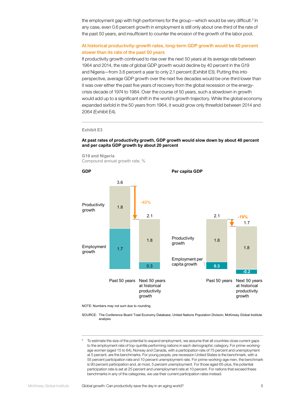the employment gap with high performers for the group—which would be very difficult.<sup>5</sup> In any case, even 0.6 percent growth in employment is still only about one-third of the rate of the past 50 years, and insufficient to counter the erosion of the growth of the labor pool.

#### At historical productivity-growth rates, long-term GDP growth would be 40 percent slower than its rate of the past 50 years

If productivity growth continued to rise over the next 50 years at its average rate between 1964 and 2014, the rate of global GDP growth would decline by 40 percent in the G19 and Nigeria—from 3.6 percent a year to only 2.1 percent (Exhibit E3). Putting this into perspective, average GDP growth over the next five decades would be one-third lower than it was over either the past five years of recovery from the global recession or the energycrisis decade of 1974 to 1984. Over the course of 50 years, such a slowdown in growth would add up to a significant shift in the world's growth trajectory. While the global economy expanded sixfold in the 50 years from 1964, it would grow only threefold between 2014 and 2064 (Exhibit E4).

#### **Exhibit E3**

#### **At past rates of productivity growth, GDP growth would slow down by about 40 percent and per capita GDP growth by about 20 percent**

**G19 and Nigeria** Compound annual growth rate, %



NOTE: Numbers may not sum due to rounding.

SOURCE: The Conference Board Total Economy Database; United Nations Population Division; McKinsey Global Institute analysis

<sup>5</sup> To estimate the size of the potential to expand employment, we assume that all countries close current gaps to the employment rate of top-quintile performing nations in each demographic category. For prime-workingage women (aged 15 to 64), Norway and Canada, with a participation rate of 75 percent and unemployment at 5 percent, are the benchmarks. For young people, pre-recession United States is the benchmark, with a 55 percent participation rate and 10 percent unemployment rate. For prime-working-age men, the benchmark is 90 percent participation and, at most, 5 percent unemployment. For those aged 65-plus, the potential participation rate is set at 25 percent and unemployment rate at 10 percent. For nations that exceed these benchmarks in any of the categories, we use their current participation rates instead.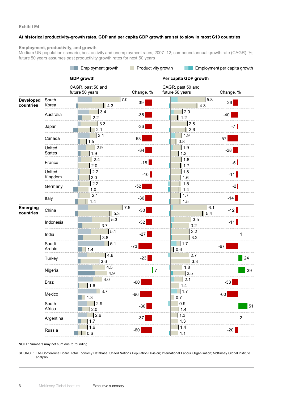#### **Exhibit E4**

#### **At historical productivity-growth rates, GDP and per capita GDP growth are set to slow in most G19 countries**

#### **Employment, productivity, and growth**

Medium UN population scenario, best activity and unemployment rates, 2007–12; compound annual growth rate (CAGR), %; future 50 years assumes past productivity growth rates for next 50 years

|                               |                         | Employment growth<br>Productivity growth<br><b>GDP</b> growth |              | Employment per capita growth<br>Per capita GDP growth |                             |
|-------------------------------|-------------------------|---------------------------------------------------------------|--------------|-------------------------------------------------------|-----------------------------|
|                               |                         |                                                               |              |                                                       |                             |
|                               |                         | CAGR, past 50 and<br>future 50 years                          | Change, %    | CAGR, past 50 and<br>future 50 years                  | Change, %                   |
| <b>Developed</b><br>countries | South<br>Korea          | $\vert$ 4.3                                                   | 7.0<br>$-39$ | $\vert$ 4.3                                           | 5.8<br>$-26$                |
|                               | Australia               | 3.4<br>2.2                                                    | $-36$        | 2.0<br>$\vert$ 1.2                                    | $-40$                       |
|                               | Japan                   | 3.3<br>2.1                                                    | $-36$        | 2.8<br>$\vert$ 2.6                                    | $-7$                        |
|                               | Canada                  | $\vert 3.1 \vert$<br>1.5                                      | $-53$        | $\vert$ 1.9<br>$\vert$ 0.8                            | $-57$                       |
|                               | United<br><b>States</b> | 2.9<br>1.9                                                    | $-34$        | 1.9<br>1.3                                            | $-28$                       |
|                               | France                  | 2.4<br>2.0                                                    | $-18$        | 1.8<br>1.7                                            | $-5$                        |
|                               | United<br>Kingdom       | 2.2<br>2.0                                                    | $-10$        | 1.8<br>1.6                                            | $-11$                       |
|                               | Germany                 | 2.2<br>1.0                                                    | $-52$        | 1.5<br>1.4                                            | $-2$                        |
|                               | Italy                   | 2.1<br>1.4                                                    | $-36$        | 1.7<br>$\vert$ 1.5                                    | $-14$                       |
| <b>Emerging</b><br>countries  | China                   | $\vert$ 5.3                                                   | 7.5<br>$-30$ |                                                       | 6.1<br>$-12$<br>$\vert$ 5.4 |
|                               | Indonesia               | 5.3<br>3.7                                                    | $-32$        | 3.5<br>3.2                                            | $-11$                       |
|                               | India                   | 5.1<br>3.8                                                    | $-27$        | 3.2<br>3.2                                            | 1                           |
|                               | Saudi<br>Arabia         | 5.1<br>1.4                                                    | $-73$        | 11.7<br> 0.6                                          | $-67$                       |
|                               | Turkey                  | 4.6<br>3.6                                                    | $-23$        | 2.7<br>3.3                                            | 24                          |
|                               | Nigeria                 | 4.5<br>4.9                                                    | 7            | 1.8<br>2.5                                            | 39                          |
|                               | <b>Brazil</b>           | 4.0<br>1.6                                                    | $-60$        | 2.1<br>1.4                                            | $-33$                       |
|                               | Mexico                  | 3.7<br>$\vert$ 1.3                                            | $-66$        | 1.7<br>0.7                                            | $-60$                       |
|                               | South<br>Africa         | 2.9<br>2.0                                                    | $-30$        | $\vert$ 0.9<br>1.4                                    | 51                          |
|                               | Argentina               | 2.6<br>1.7                                                    | $-37$        | 1.3<br>1.3                                            | $\sqrt{2}$                  |
|                               | Russia                  | 1.6<br>0.6                                                    | $-60$        | 1.4<br>1.1                                            | $-20$                       |

NOTE: Numbers may not sum due to rounding.

SOURCE: The Conference Board Total Economy Database; United Nations Population Division; International Labour Organisation; McKinsey Global Institute analysis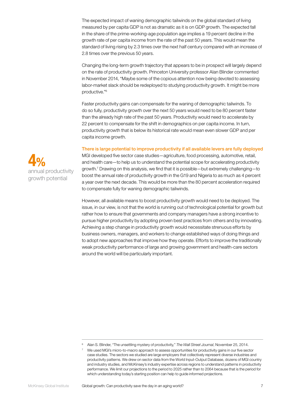The expected impact of waning demographic tailwinds on the global standard of living measured by per capita GDP is not as dramatic as it is on GDP growth. The expected fall in the share of the prime-working-age population age implies a 19 percent decline in the growth rate of per capita income from the rate of the past 50 years. This would mean the standard of living rising by 2.3 times over the next half century compared with an increase of 2.8 times over the previous 50 years.

Changing the long-term growth trajectory that appears to be in prospect will largely depend on the rate of productivity growth. Princeton University professor Alan Blinder commented in November 2014, "Maybe some of the copious attention now being devoted to assessing labor-market slack should be redeployed to studying productivity growth. It might be more productive."6

Faster productivity gains can compensate for the waning of demographic tailwinds. To do so fully, productivity growth over the next 50 years would need to be 80 percent faster than the already high rate of the past 50 years. Productivity would need to accelerate by 22 percent to compensate for the shift in demographics on per capita income. In turn, productivity growth that is below its historical rate would mean even slower GDP and per capita income growth.

#### There is large potential to improve productivity if all available levers are fully deployed



MGI developed five sector case studies—agriculture, food processing, automotive, retail, and health care—to help us to understand the potential scope for accelerating productivity growth.7 Drawing on this analysis, we find that it is possible—but extremely challenging—to boost the annual rate of productivity growth in the G19 and Nigeria to as much as 4 percent a year over the next decade. This would be more than the 80 percent acceleration required to compensate fully for waning demographic tailwinds.

However, all available means to boost productivity growth would need to be deployed. The issue, in our view, is not that the world is running out of technological potential for growth but rather how to ensure that governments and company managers have a strong incentive to pursue higher productivity by adopting proven best practices from others and by innovating. Achieving a step change in productivity growth would necessitate strenuous efforts by business owners, managers, and workers to change established ways of doing things and to adopt new approaches that improve how they operate. Efforts to improve the traditionally weak productivity performance of large and growing government and health-care sectors around the world will be particularly important.

<sup>6</sup> Alan S. Blinder, "The unsettling mystery of productivity," *The Wall Street Journal*, November 25, 2014.

<sup>7</sup> We used MGI's micro-to-macro approach to assess opportunities for productivity gains in our five sector case studies. The sectors we studied are large employers that collectively represent diverse industries and productivity patterns. We drew on sector data from the World Input-Output Database, dozens of MGI country and industry studies, and McKinsey's industry expertise across regions to understand patterns in productivity performance. We limit our projections to the period to 2025 rather than to 2064 because that is the period for which understanding today's starting position can help to guide informed projections.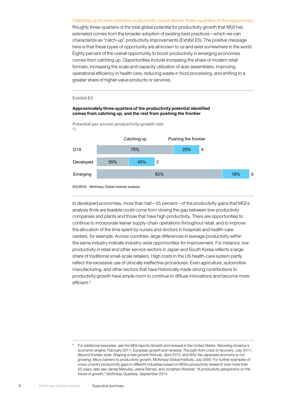#### Catching up to best-practice productivity could deliver three-quarters of the opportunity

Roughly three-quarters of the total global potential for productivity growth that MGI has estimated comes from the broader adoption of existing best practices—which we can characterize as "catch-up" productivity improvements (Exhibit E5). The positive message here is that these types of opportunity are all known to us and exist somewhere in the world. Eighty percent of the overall opportunity to boost productivity in emerging economies comes from catching up. Opportunities include increasing the share of modern retail formats, increasing the scale and capacity utilization of auto assemblers, improving operational efficiency in health care, reducing waste in food processing, and shifting to a greater share of higher-value products or services.

#### **Exhibit E5**

#### **Approximately three-quarters of the productivity potential identified comes from catching up, and the rest from pushing the frontier**

**Potential per annum productivity growth rate**  $0/2$ 



SOURCE: McKinsey Global Institute analysis

In developed economies, more than half—55 percent—of the productivity gains that MGI's analysis finds are feasible could come from closing the gap between low-productivity companies and plants and those that have high productivity. There are opportunities to continue to incorporate leaner supply-chain operations throughout retail, and to improve the allocation of the time spent by nurses and doctors in hospitals and health-care centers, for example. Across countries, large differences in average productivity within the same industry indicate industry-wide opportunities for improvement. For instance, low productivity in retail and other service sectors in Japan and South Korea reflects a large share of traditional small-scale retailers. High costs in the US health-care system partly reflect the excessive use of clinically ineffective procedures. Even agriculture, automotive manufacturing, and other sectors that have historically made strong contributions to productivity growth have ample room to continue to diffuse innovations and become more efficient.<sup>8</sup>

<sup>8</sup> For additional examples, see the MGI reports *Growth and renewal in the United States: Retooling America's economic engine*, February 2011; *European growth and renewal: The path from crisis to recovery*, July 2011; *Beyond Korean style: Shaping a new growth formula*, April 2013; and *Why the Japanese economy is not growing: Micro barriers to productivity growth*, McKinsey Global Institute, July 2000. For further examples of cross-country productivity gaps in different industries based on MGI's productivity research over more than 20 years, also see James Manyika, Jaana Remes, and Jonathan Woetzel, "A productivity perspective on the future of growth," *McKinsey Quarterly*, September 2014.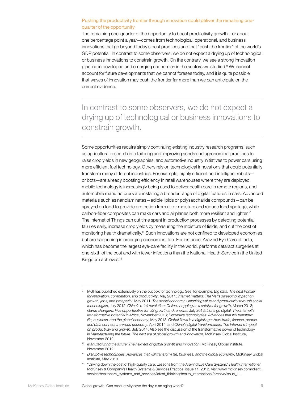#### Pushing the productivity frontier through innovation could deliver the remaining onequarter of the opportunity

The remaining one-quarter of the opportunity to boost productivity growth—or about one percentage point a year—comes from technological, operational, and business innovations that go beyond today's best practices and that "push the frontier" of the world's GDP potential. In contrast to some observers, we do not expect a drying up of technological or business innovations to constrain growth. On the contrary, we see a strong innovation pipeline in developed and emerging economies in the sectors we studied.<sup>9</sup> We cannot account for future developments that we cannot foresee today, and it is quite possible that waves of innovation may push the frontier far more than we can anticipate on the current evidence.

In contrast to some observers, we do not expect a drying up of technological or business innovations to constrain growth.

Some opportunities require simply continuing existing industry research programs, such as agricultural research into tailoring and improving seeds and agronomical practices to raise crop yields in new geographies, and automotive industry initiatives to power cars using more efficient fuel technology. Others rely on technological innovations that could potentially transform many different industries. For example, highly efficient and intelligent robots or bots—are already boosting efficiency in retail warehouses where they are deployed, mobile technology is increasingly being used to deliver health care in remote regions, and automobile manufacturers are installing a broader range of digital features in cars. Advanced materials such as nanolaminates—edible lipids or polysaccharide compounds—can be sprayed on food to provide protection from air or moisture and reduce food spoilage, while carbon-fiber composites can make cars and airplanes both more resilient and lighter.10 The Internet of Things can cut time spent in production processes by detecting potential failures early, increase crop yields by measuring the moisture of fields, and cut the cost of monitoring health dramatically.11 Such innovations are not confined to developed economies but are happening in emerging economies, too. For instance, Aravind Eye Care of India, which has become the largest eye-care facility in the world, performs cataract surgeries at one-sixth of the cost and with fewer infections than the National Health Service in the United Kingdom achieves.12

<sup>10</sup> Manufacturing the future: The next era of global growth and innovation, McKinsey Global Institute, November 2012.

<sup>9</sup> MGI has published extensively on the outlook for technology. See, for example, *Big data: The next frontier for innovation, competition, and productivity*, May 2011; *Internet matters: The Net's sweeping impact on growth, jobs, and prosperity*, May 2011; *The social economy: Unlocking value and productivity through social technologies*, July 2012; *China's e‑tail revolution: Online shopping as a catalyst for growth*, March 2013; *Game changers: Five opportunities for US growth and renewal*, July 2013; *Lions go digital: The Internet's transformative potential in Africa*, November 2013; *Disruptive technologies: Advances that will transform life, business, and the global economy*, May 2013; *Global flows in a digital age: How trade, finance, people, and data connect the world economy*, April 2014; and *China's digital transformation: The Internet's impact on productivity and growth*, July 2014. Also see the discussion of the transformative power of technology in *Manufacturing the future: The next era of global growth and innovation*, McKinsey Global Institute, November 2012.

<sup>11</sup> *Disruptive technologies: Advances that will transform life, business, and the global economy*, McKinsey Global Institute, May 2013.

<sup>12</sup> "Driving down the cost of high-quality care: Lessons from the Aravind Eye Care System," *Health International*, McKinsey & Company's Health Systems & Services Practice, issue 11, 2012. Visit www.mckinsey.com/client\_ service/healthcare\_systems\_and\_services/latest\_thinking/health\_international/archive/issue\_11.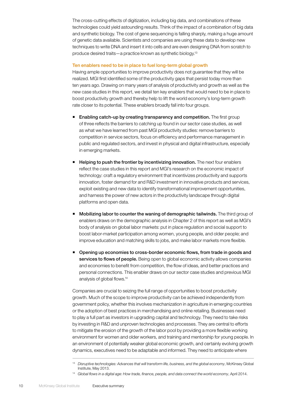The cross-cutting effects of digitization, including big data, and combinations of these technologies could yield astounding results. Think of the impact of a combination of big data and synthetic biology. The cost of gene sequencing is falling sharply, making a huge amount of genetic data available. Scientists and companies are using these data to develop new techniques to write DNA and insert it into cells and are even designing DNA from scratch to produce desired traits—a practice known as synthetic biology.13

#### Ten enablers need to be in place to fuel long-term global growth

Having ample opportunities to improve productivity does not guarantee that they will be realized. MGI first identified some of the productivity gaps that persist today more than ten years ago. Drawing on many years of analysis of productivity and growth as well as the new case studies in this report, we detail ten key enablers that would need to be in place to boost productivity growth and thereby help to lift the world economy's long-term growth rate closer to its potential. These enablers broadly fall into four groups.

- **Enabling catch-up by creating transparency and competition.** The first group of three reflects the barriers to catching up found in our sector case studies, as well as what we have learned from past MGI productivity studies: remove barriers to competition in service sectors, focus on efficiency and performance management in public and regulated sectors, and invest in physical and digital infrastructure, especially in emerging markets.
- Helping to push the frontier by incentivizing innovation. The next four enablers reflect the case studies in this report and MGI's research on the economic impact of technology: craft a regulatory environment that incentivizes productivity and supports innovation, foster demand for and R&D investment in innovative products and services, exploit existing and new data to identify transformational improvement opportunities, and harness the power of new actors in the productivity landscape through digital platforms and open data.
- Mobilizing labor to counter the waning of demographic tailwinds. The third group of enablers draws on the demographic analysis in Chapter 2 of this report as well as MGI's body of analysis on global labor markets: put in place regulation and social support to boost labor-market participation among women, young people, and older people; and improve education and matching skills to jobs, and make labor markets more flexible.
- Opening up economies to cross-border economic flows, from trade in goods and services to flows of people. Being open to global economic activity allows companies and economies to benefit from competition, the flow of ideas, and better practices and personal connections. This enabler draws on our sector case studies and previous MGI analysis of global flows.14

Companies are crucial to seizing the full range of opportunities to boost productivity growth. Much of the scope to improve productivity can be achieved independently from government policy, whether this involves mechanization in agriculture in emerging countries or the adoption of best practices in merchandising and online retailing. Businesses need to play a full part as investors in upgrading capital and technology. They need to take risks by investing in R&D and unproven technologies and processes. They are central to efforts to mitigate the erosion of the growth of the labor pool by providing a more flexible working environment for women and older workers, and training and mentorship for young people. In an environment of potentially weaker global economic growth, and certainly evolving growth dynamics, executives need to be adaptable and informed. They need to anticipate where

<sup>14</sup> *Global flows in a digital age: How trade, finance, people, and data connect the world economy*, April 2014.

<sup>13</sup> *Disruptive technologies: Advances that will transform life, business, and the global economy*, McKinsey Global Institute, May 2013.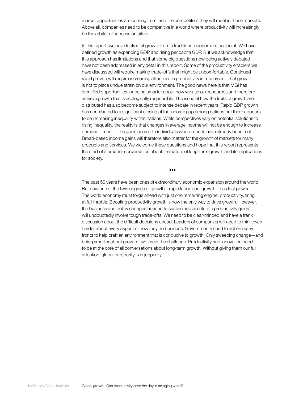market opportunities are coming from, and the competitors they will meet in those markets. Above all, companies need to be competitive in a world where productivity will increasingly be the arbiter of success or failure.

In this report, we have looked at growth from a traditional economic standpoint. We have defined growth as expanding GDP and rising per capita GDP. But we acknowledge that this approach has limitations and that some big questions now being actively debated have not been addressed in any detail in this report. Some of the productivity enablers we have discussed will require making trade-offs that might be uncomfortable. Continued rapid growth will require increasing attention on productivity in resources if that growth is not to place undue strain on our environment. The good news here is that MGI has identified opportunities for being smarter about how we use our resources and therefore achieve growth that is ecologically responsible. The issue of how the fruits of growth are distributed has also become subject to intense debate in recent years. Rapid GDP growth has contributed to a significant closing of the income gap among nations but there appears to be increasing inequality within nations. While perspectives vary on potential solutions to rising inequality, the reality is that changes in average income will not be enough to increase demand if most of the gains accrue to individuals whose needs have already been met. Broad-based income gains will therefore also matter for the growth of markets for many products and services. We welcome these questions and hope that this report represents the start of a broader conversation about the nature of long-term growth and its implications for society.

•••

The past 50 years have been ones of extraordinary economic expansion around the world. But now one of the twin engines of growth—rapid labor-pool growth—has lost power. The world economy must forge ahead with just one remaining engine, productivity, firing at full throttle. Boosting productivity growth is now the only way to drive growth. However, the business and policy changes needed to sustain and accelerate productivity gains will undoubtedly involve tough trade-offs. We need to be clear-minded and have a frank discussion about the difficult decisions ahead. Leaders of companies will need to think even harder about every aspect of how they do business. Governments need to act on many fronts to help craft an environment that is conducive to growth. Only sweeping change—and being smarter about growth—will meet the challenge. Productivity and innovation need to be at the core of all conversations about long-term growth. Without giving them our full attention, global prosperity is in jeopardy.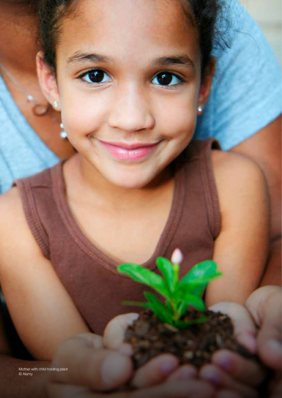Mother with child holding plant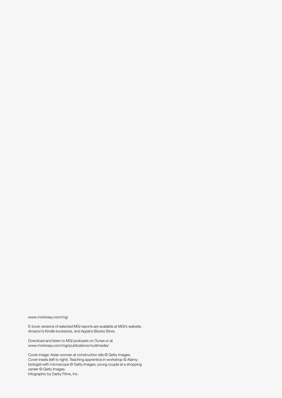<www.mckinsey.com/mgi>

E-book versions of selected MGI reports are available at MGI's website, Amazon's Kindle bookstore, and Apple's iBooks Store.

Download and listen to MGI podcasts on iTunes or at [www.mckinsey.com/mgi/publications/multimedia/.](www.mckinsey.com/mgi/publications/multimedia/)

Cover image: Asian woman at construction site © Getty Images. Cover insets (left to right): Teaching apprentice in workshop © Alamy; biologist with microscope © Getty Images; young couple at a shopping center © Getty Images. Infographic by Darby Films, Inc.